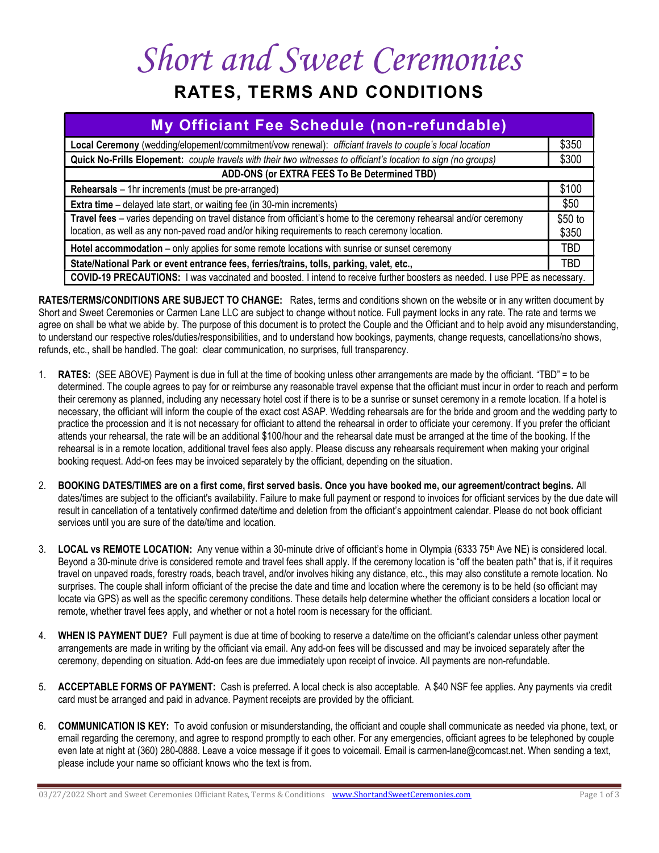## Short and Sweet Ceremonies

## RATES, TERMS AND CONDITIONS

| My Officiant Fee Schedule (non-refundable)                                                                                                                                                                          |                  |
|---------------------------------------------------------------------------------------------------------------------------------------------------------------------------------------------------------------------|------------------|
| Local Ceremony (wedding/elopement/commitment/vow renewal): officiant travels to couple's local location                                                                                                             | \$350            |
| Quick No-Frills Elopement: couple travels with their two witnesses to officiant's location to sign (no groups)                                                                                                      | \$300            |
| ADD-ONS (or EXTRA FEES To Be Determined TBD)                                                                                                                                                                        |                  |
| <b>Rehearsals</b> – 1hr increments (must be pre-arranged)                                                                                                                                                           | \$100            |
| <b>Extra time</b> – delayed late start, or waiting fee (in 30-min increments)                                                                                                                                       | \$50             |
| Travel fees - varies depending on travel distance from officiant's home to the ceremony rehearsal and/or ceremony<br>location, as well as any non-paved road and/or hiking requirements to reach ceremony location. | \$50 to<br>\$350 |
| Hotel accommodation - only applies for some remote locations with sunrise or sunset ceremony                                                                                                                        | TBD              |
| State/National Park or event entrance fees, ferries/trains, tolls, parking, valet, etc.,                                                                                                                            | TBD              |
| COVID-19 PRECAUTIONS: I was vaccinated and boosted. I intend to receive further boosters as needed. I use PPE as necessary.                                                                                         |                  |

RATES/TERMS/CONDITIONS ARE SUBJECT TO CHANGE: Rates, terms and conditions shown on the website or in any written document by Short and Sweet Ceremonies or Carmen Lane LLC are subject to change without notice. Full payment locks in any rate. The rate and terms we agree on shall be what we abide by. The purpose of this document is to protect the Couple and the Officiant and to help avoid any misunderstanding, to understand our respective roles/duties/responsibilities, and to understand how bookings, payments, change requests, cancellations/no shows, refunds, etc., shall be handled. The goal: clear communication, no surprises, full transparency.

- 1. RATES: (SEE ABOVE) Payment is due in full at the time of booking unless other arrangements are made by the officiant. "TBD" = to be determined. The couple agrees to pay for or reimburse any reasonable travel expense that the officiant must incur in order to reach and perform their ceremony as planned, including any necessary hotel cost if there is to be a sunrise or sunset ceremony in a remote location. If a hotel is necessary, the officiant will inform the couple of the exact cost ASAP. Wedding rehearsals are for the bride and groom and the wedding party to practice the procession and it is not necessary for officiant to attend the rehearsal in order to officiate your ceremony. If you prefer the officiant attends your rehearsal, the rate will be an additional \$100/hour and the rehearsal date must be arranged at the time of the booking. If the rehearsal is in a remote location, additional travel fees also apply. Please discuss any rehearsals requirement when making your original booking request. Add-on fees may be invoiced separately by the officiant, depending on the situation.
- 2. BOOKING DATES/TIMES are on a first come, first served basis. Once you have booked me, our agreement/contract begins. All dates/times are subject to the officiant's availability. Failure to make full payment or respond to invoices for officiant services by the due date will result in cancellation of a tentatively confirmed date/time and deletion from the officiant's appointment calendar. Please do not book officiant services until you are sure of the date/time and location.
- 3. LOCAL vs REMOTE LOCATION: Any venue within a 30-minute drive of officiant's home in Olympia (6333 75<sup>th</sup> Ave NE) is considered local. Beyond a 30-minute drive is considered remote and travel fees shall apply. If the ceremony location is "off the beaten path" that is, if it requires travel on unpaved roads, forestry roads, beach travel, and/or involves hiking any distance, etc., this may also constitute a remote location. No surprises. The couple shall inform officiant of the precise the date and time and location where the ceremony is to be held (so officiant may locate via GPS) as well as the specific ceremony conditions. These details help determine whether the officiant considers a location local or remote, whether travel fees apply, and whether or not a hotel room is necessary for the officiant.
- 4. WHEN IS PAYMENT DUE? Full payment is due at time of booking to reserve a date/time on the officiant's calendar unless other payment arrangements are made in writing by the officiant via email. Any add-on fees will be discussed and may be invoiced separately after the ceremony, depending on situation. Add-on fees are due immediately upon receipt of invoice. All payments are non-refundable.
- 5. ACCEPTABLE FORMS OF PAYMENT: Cash is preferred. A local check is also acceptable. A \$40 NSF fee applies. Any payments via credit card must be arranged and paid in advance. Payment receipts are provided by the officiant.
- 6. COMMUNICATION IS KEY: To avoid confusion or misunderstanding, the officiant and couple shall communicate as needed via phone, text, or email regarding the ceremony, and agree to respond promptly to each other. For any emergencies, officiant agrees to be telephoned by couple even late at night at (360) 280-0888. Leave a voice message if it goes to voicemail. Email is carmen-lane@comcast.net. When sending a text, please include your name so officiant knows who the text is from.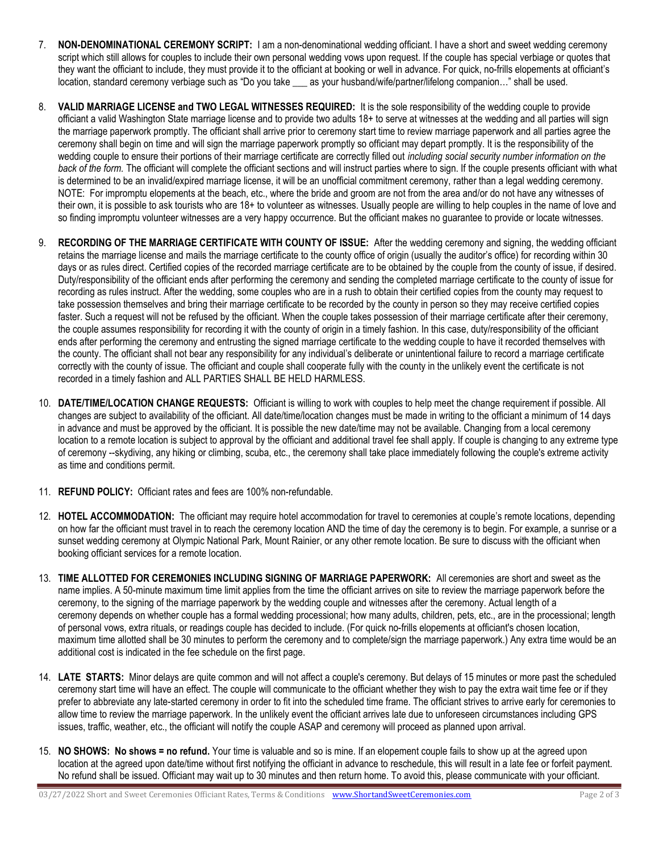- 7. NON-DENOMINATIONAL CEREMONY SCRIPT: I am a non-denominational wedding officiant. I have a short and sweet wedding ceremony script which still allows for couples to include their own personal wedding vows upon request. If the couple has special verbiage or quotes that they want the officiant to include, they must provide it to the officiant at booking or well in advance. For quick, no-frills elopements at officiant's location, standard ceremony verbiage such as "Do you take as your husband/wife/partner/lifelong companion..." shall be used.
- 8. VALID MARRIAGE LICENSE and TWO LEGAL WITNESSES REQUIRED: It is the sole responsibility of the wedding couple to provide officiant a valid Washington State marriage license and to provide two adults 18+ to serve at witnesses at the wedding and all parties will sign the marriage paperwork promptly. The officiant shall arrive prior to ceremony start time to review marriage paperwork and all parties agree the ceremony shall begin on time and will sign the marriage paperwork promptly so officiant may depart promptly. It is the responsibility of the wedding couple to ensure their portions of their marriage certificate are correctly filled out *including social security number information on the* back of the form. The officiant will complete the officiant sections and will instruct parties where to sign. If the couple presents officiant with what is determined to be an invalid/expired marriage license, it will be an unofficial commitment ceremony, rather than a legal wedding ceremony. NOTE: For impromptu elopements at the beach, etc., where the bride and groom are not from the area and/or do not have any witnesses of their own, it is possible to ask tourists who are 18+ to volunteer as witnesses. Usually people are willing to help couples in the name of love and so finding impromptu volunteer witnesses are a very happy occurrence. But the officiant makes no guarantee to provide or locate witnesses.
- 9. RECORDING OF THE MARRIAGE CERTIFICATE WITH COUNTY OF ISSUE: After the wedding ceremony and signing, the wedding officiant retains the marriage license and mails the marriage certificate to the county office of origin (usually the auditor's office) for recording within 30 days or as rules direct. Certified copies of the recorded marriage certificate are to be obtained by the couple from the county of issue, if desired. Duty/responsibility of the officiant ends after performing the ceremony and sending the completed marriage certificate to the county of issue for recording as rules instruct. After the wedding, some couples who are in a rush to obtain their certified copies from the county may request to take possession themselves and bring their marriage certificate to be recorded by the county in person so they may receive certified copies faster. Such a request will not be refused by the officiant. When the couple takes possession of their marriage certificate after their ceremony, the couple assumes responsibility for recording it with the county of origin in a timely fashion. In this case, duty/responsibility of the officiant ends after performing the ceremony and entrusting the signed marriage certificate to the wedding couple to have it recorded themselves with the county. The officiant shall not bear any responsibility for any individual's deliberate or unintentional failure to record a marriage certificate correctly with the county of issue. The officiant and couple shall cooperate fully with the county in the unlikely event the certificate is not recorded in a timely fashion and ALL PARTIES SHALL BE HELD HARMLESS.
- 10. DATE/TIME/LOCATION CHANGE REQUESTS: Officiant is willing to work with couples to help meet the change requirement if possible. All changes are subject to availability of the officiant. All date/time/location changes must be made in writing to the officiant a minimum of 14 days in advance and must be approved by the officiant. It is possible the new date/time may not be available. Changing from a local ceremony location to a remote location is subject to approval by the officiant and additional travel fee shall apply. If couple is changing to any extreme type of ceremony --skydiving, any hiking or climbing, scuba, etc., the ceremony shall take place immediately following the couple's extreme activity as time and conditions permit.
- 11. REFUND POLICY: Officiant rates and fees are 100% non-refundable.
- 12. HOTEL ACCOMMODATION: The officiant may require hotel accommodation for travel to ceremonies at couple's remote locations, depending on how far the officiant must travel in to reach the ceremony location AND the time of day the ceremony is to begin. For example, a sunrise or a sunset wedding ceremony at Olympic National Park, Mount Rainier, or any other remote location. Be sure to discuss with the officiant when booking officiant services for a remote location.
- 13. TIME ALLOTTED FOR CEREMONIES INCLUDING SIGNING OF MARRIAGE PAPERWORK: All ceremonies are short and sweet as the name implies. A 50-minute maximum time limit applies from the time the officiant arrives on site to review the marriage paperwork before the ceremony, to the signing of the marriage paperwork by the wedding couple and witnesses after the ceremony. Actual length of a ceremony depends on whether couple has a formal wedding processional; how many adults, children, pets, etc., are in the processional; length of personal vows, extra rituals, or readings couple has decided to include. (For quick no-frills elopements at officiant's chosen location, maximum time allotted shall be 30 minutes to perform the ceremony and to complete/sign the marriage paperwork.) Any extra time would be an additional cost is indicated in the fee schedule on the first page.
- 14. LATE STARTS: Minor delays are quite common and will not affect a couple's ceremony. But delays of 15 minutes or more past the scheduled ceremony start time will have an effect. The couple will communicate to the officiant whether they wish to pay the extra wait time fee or if they prefer to abbreviate any late-started ceremony in order to fit into the scheduled time frame. The officiant strives to arrive early for ceremonies to allow time to review the marriage paperwork. In the unlikely event the officiant arrives late due to unforeseen circumstances including GPS issues, traffic, weather, etc., the officiant will notify the couple ASAP and ceremony will proceed as planned upon arrival.
- 15. NO SHOWS: No shows = no refund. Your time is valuable and so is mine. If an elopement couple fails to show up at the agreed upon location at the agreed upon date/time without first notifying the officiant in advance to reschedule, this will result in a late fee or forfeit payment. No refund shall be issued. Officiant may wait up to 30 minutes and then return home. To avoid this, please communicate with your officiant.